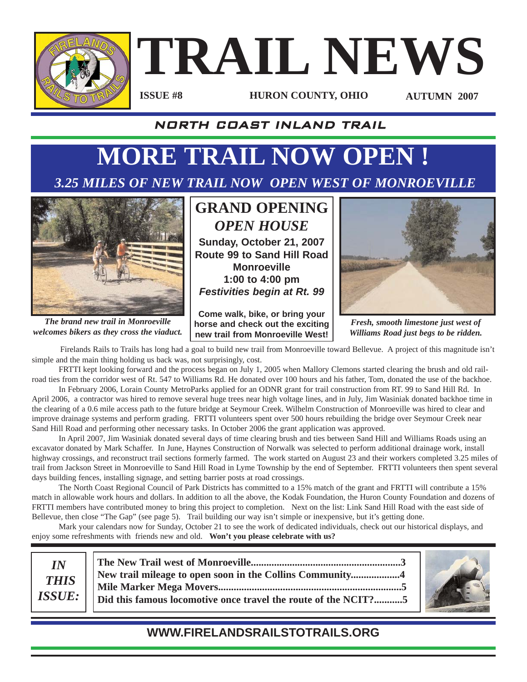

# **TRAIL NEWS**

**ISSUE #8**

**HURON COUNTY, OHIO AUTUMN 2007**

#### NORTH COAST INLAND TRAIL

# **MORE TRAIL NOW OPEN !**

### *3.25 MILES OF NEW TRAIL NOW OPEN WEST OF MONROEVILLE*



*The brand new trail in Monroeville welcomes bikers as they cross the viaduct.*

## **GRAND OPENING** *OPEN HOUSE*

**Sunday, October 21, 2007 Route 99 to Sand Hill Road Monroeville 1:00 to 4:00 pm** *Festivities begin at Rt. 99*

**Come walk, bike, or bring your horse and check out the exciting new trail from Monroeville West!**



*Fresh, smooth limestone just west of Williams Road just begs to be ridden.*

Firelands Rails to Trails has long had a goal to build new trail from Monroeville toward Bellevue. A project of this magnitude isn't simple and the main thing holding us back was, not surprisingly, cost.

FRTTI kept looking forward and the process began on July 1, 2005 when Mallory Clemons started clearing the brush and old railroad ties from the corridor west of Rt. 547 to Williams Rd. He donated over 100 hours and his father, Tom, donated the use of the backhoe.

In February 2006, Lorain County MetroParks applied for an ODNR grant for trail construction from RT. 99 to Sand Hill Rd. In April 2006, a contractor was hired to remove several huge trees near high voltage lines, and in July, Jim Wasiniak donated backhoe time in the clearing of a 0.6 mile access path to the future bridge at Seymour Creek. Wilhelm Construction of Monroeville was hired to clear and improve drainage systems and perform grading. FRTTI volunteers spent over 500 hours rebuilding the bridge over Seymour Creek near Sand Hill Road and performing other necessary tasks. In October 2006 the grant application was approved.

In April 2007, Jim Wasiniak donated several days of time clearing brush and ties between Sand Hill and Williams Roads using an excavator donated by Mark Schaffer. In June, Haynes Construction of Norwalk was selected to perform additional drainage work, install highway crossings, and reconstruct trail sections formerly farmed. The work started on August 23 and their workers completed 3.25 miles of trail from Jackson Street in Monroeville to Sand Hill Road in Lyme Township by the end of September. FRTTI volunteers then spent several days building fences, installing signage, and setting barrier posts at road crossings.

The North Coast Regional Council of Park Districts has committed to a 15% match of the grant and FRTTI will contribute a 15% match in allowable work hours and dollars. In addition to all the above, the Kodak Foundation, the Huron County Foundation and dozens of FRTTI members have contributed money to bring this project to completion. Next on the list: Link Sand Hill Road with the east side of Bellevue, then close "The Gap" (see page 5). Trail building our way isn't simple or inexpensive, but it's getting done.

Mark your calendars now for Sunday, October 21 to see the work of dedicated individuals, check out our historical displays, and enjoy some refreshments with friends new and old. **Won't you please celebrate with us?**



#### **WWW.FIRELANDSRAILSTOTRAILS.ORG**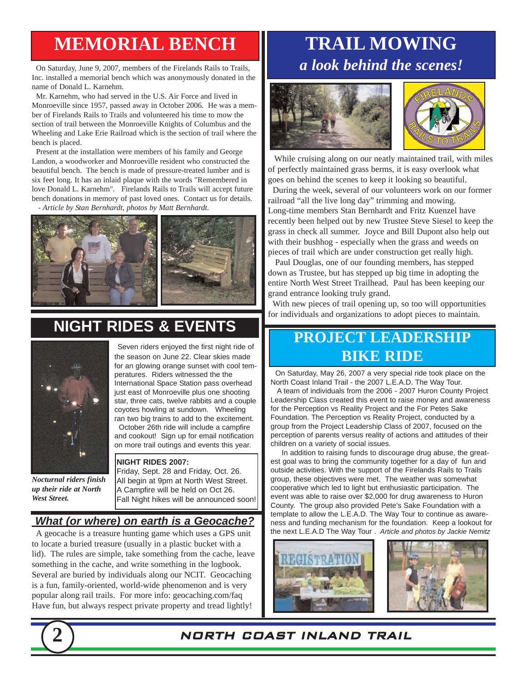## **MEMORIAL BENCH**

On Saturday, June 9, 2007, members of the Firelands Rails to Trails, Inc. installed a memorial bench which was anonymously donated in the name of Donald L. Karnehm.

Mr. Karnehm, who had served in the U.S. Air Force and lived in Monroeville since 1957, passed away in October 2006. He was a member of Firelands Rails to Trails and volunteered his time to mow the section of trail between the Monroeville Knights of Columbus and the Wheeling and Lake Erie Railroad which is the section of trail where the bench is placed.

Present at the installation were members of his family and George Landon, a woodworker and Monroeville resident who constructed the beautiful bench. The bench is made of pressure-treated lumber and is six feet long. It has an inlaid plaque with the words "Remembered in love Donald L. Karnehm". Firelands Rails to Trails will accept future bench donations in memory of past loved ones. Contact us for details.

*- Article by Stan Bernhardt, photos by Matt Bernhardt.* 



## **NIGHT RIDES & EVENTS**



*Nocturnal riders finish up their ride at North West Street.*

Seven riders enjoyed the first night ride of the season on June 22. Clear skies made for an glowing orange sunset with cool temperatures. Riders witnessed the the International Space Station pass overhead just east of Monroeville plus one shooting star, three cats, twelve rabbits and a couple coyotes howling at sundown. Wheeling ran two big trains to add to the excitement.

October 26th ride will include a campfire and cookout! Sign up for email notification on more trail outings and events this year.

#### **NIGHT RIDES 2007:**

Friday, Sept. 28 and Friday, Oct. 26. All begin at 9pm at North West Street. A Campfire will be held on Oct 26. Fall Night hikes will be announced soon!

#### *What (or where) on earth is a Geocache?*

A geocache is a treasure hunting game which uses a GPS unit to locate a buried treasure (usually in a plastic bucket with a lid). The rules are simple, take something from the cache, leave something in the cache, and write something in the logbook. Several are buried by individuals along our NCIT. Geocaching is a fun, family-oriented, world-wide phenomenon and is very popular along rail trails. For more info: geocaching.com/faq Have fun, but always respect private property and tread lightly!

## **TRAIL MOWING** *a look behind the scenes!*





While cruising along on our neatly maintained trail, with miles of perfectly maintained grass berms, it is easy overlook what goes on behind the scenes to keep it looking so beautiful.

During the week, several of our volunteers work on our former railroad "all the live long day" trimming and mowing. Long-time members Stan Bernhardt and Fritz Kuenzel have

recently been helped out by new Trustee Steve Siesel to keep the grass in check all summer. Joyce and Bill Dupont also help out with their bushhog - especially when the grass and weeds on pieces of trail which are under construction get really high.

Paul Douglas, one of our founding members, has stepped down as Trustee, but has stepped up big time in adopting the entire North West Street Trailhead. Paul has been keeping our grand entrance looking truly grand.

With new pieces of trail opening up, so too will opportunities for individuals and organizations to adopt pieces to maintain.

## **PROJECT LEADERSHIP BIKE RIDE**

On Saturday, May 26, 2007 a very special ride took place on the North Coast Inland Trail - the 2007 L.E.A.D. The Way Tour.

A team of individuals from the 2006 - 2007 Huron County Project Leadership Class created this event to raise money and awareness for the Perception vs Reality Project and the For Petes Sake Foundation. The Perception vs Reality Project, conducted by a group from the Project Leadership Class of 2007, focused on the perception of parents versus reality of actions and attitudes of their children on a variety of social issues.

In addition to raising funds to discourage drug abuse, the greatest goal was to bring the community together for a day of fun and outside activities. With the support of the Firelands Rails to Trails group, these objectives were met. The weather was somewhat cooperative which led to light but enthusiastic participation. The event was able to raise over \$2,000 for drug awareness to Huron County. The group also provided Pete's Sake Foundation with a template to allow the L.E.A.D. The Way Tour to continue as awareness and funding mechanism for the foundation. Keep a lookout for the next L.E.A.D The Way Tour . *Article and photos by Jackie Nemitz*







**2** NORTH COAST INLAND TRAIL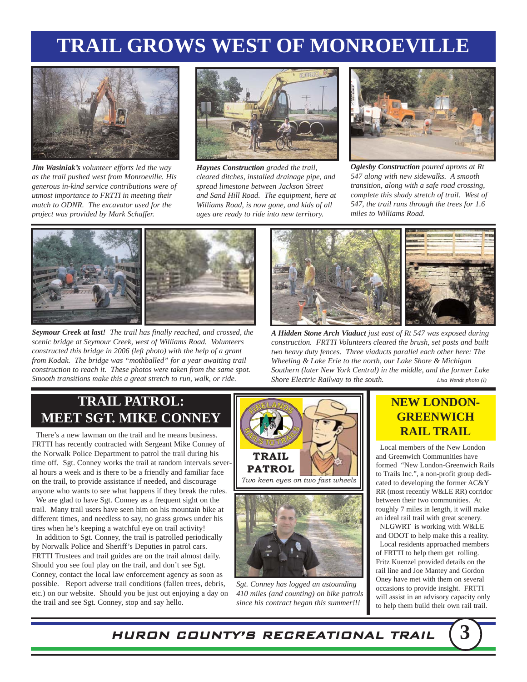## **TRAIL GROWS WEST OF MONROEVILLE**



*Jim Wasiniak's volunteer efforts led the way as the trail pushed west from Monroeville. His generous in-kind service contributions were of utmost importance to FRTTI in meeting their match to ODNR. The excavator used for the project was provided by Mark Schaffer.*



*Haynes Construction graded the trail, cleared ditches, installed drainage pipe, and spread limestone between Jackson Street and Sand Hill Road. The equipment, here at Williams Road, is now gone, and kids of all ages are ready to ride into new territory.*



*Oglesby Construction poured aprons at Rt 547 along with new sidewalks. A smooth transition, along with a safe road crossing, complete this shady stretch of trail. West of 547, the trail runs through the trees for 1.6 miles to Williams Road.*



*Seymour Creek at last! The trail has finally reached, and crossed, the scenic bridge at Seymour Creek, west of Williams Road. Volunteers constructed this bridge in 2006 (left photo) with the help of a grant from Kodak. The bridge was "mothballed" for a year awaiting trail construction to reach it. These photos were taken from the same spot. Smooth transitions make this a great stretch to run, walk, or ride.*



*A Hidden Stone Arch Viaduct just east of Rt 547 was exposed during construction. FRTTI Volunteers cleared the brush, set posts and built two heavy duty fences. Three viaducts parallel each other here: The Wheeling & Lake Erie to the north, our Lake Shore & Michigan Southern (later New York Central) in the middle, and the former Lake Shore Electric Railway to the south. Lisa Wendt photo (l)*

#### **TRAIL PATROL: MEET SGT. MIKE CONNEY**

There's a new lawman on the trail and he means business. FRTTI has recently contracted with Sergeant Mike Conney of the Norwalk Police Department to patrol the trail during his time off. Sgt. Conney works the trail at random intervals several hours a week and is there to be a friendly and familiar face on the trail, to provide assistance if needed, and discourage anyone who wants to see what happens if they break the rules.

We are glad to have Sgt. Conney as a frequent sight on the trail. Many trail users have seen him on his mountain bike at different times, and needless to say, no grass grows under his tires when he's keeping a watchful eye on trail activity!

In addition to Sgt. Conney, the trail is patrolled periodically by Norwalk Police and Sheriff's Deputies in patrol cars. FRTTI Trustees and trail guides are on the trail almost daily. Should you see foul play on the trail, and don't see Sgt. Conney, contact the local law enforcement agency as soon as possible. Report adverse trail conditions (fallen trees, debris, etc.) on our website. Should you be just out enjoying a day on the trail and see Sgt. Conney, stop and say hello.



*Sgt. Conney has logged an astounding 410 miles (and counting) on bike patrols since his contract began this summer!!!*

#### **NEW LONDON-GREENWICH RAIL TRAIL**

Local members of the New London and Greenwich Communities have formed "New London-Greenwich Rails to Trails Inc.", a non-profit group dedicated to developing the former AC&Y RR (most recently W&LE RR) corridor between their two communities. At roughly 7 miles in length, it will make an ideal rail trail with great scenery.

NLGWRT is working with W&LE and ODOT to help make this a reality.

Local residents approached members of FRTTI to help them get rolling. Fritz Kuenzel provided details on the rail line and Joe Mantey and Gordon Oney have met with them on several occasions to provide insight. FRTTI will assist in an advisory capacity only to help them build their own rail trail.

HURON COUNTY'S RECREATIONAL TRAIL **3**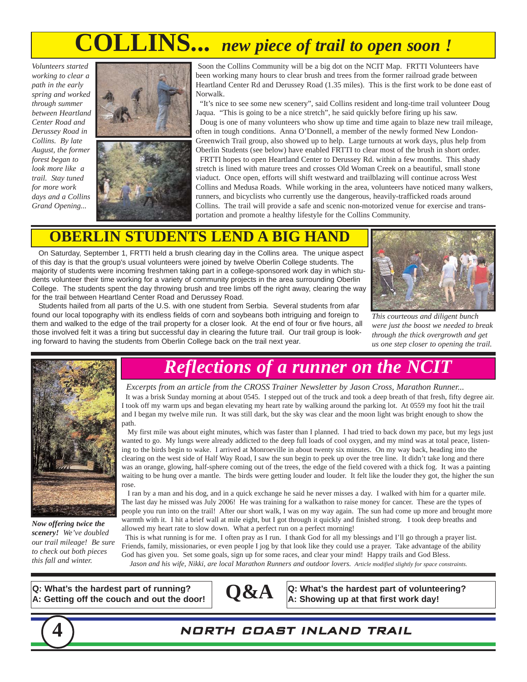## **COLLINS...** *new piece of trail to open soon !*

*Volunteers started working to clear a path in the early spring and worked through summer between Heartland Center Road and Derussey Road in Collins. By late August, the former forest began to look more like a trail. Stay tuned for more work days and a Collins Grand Opening...*



Soon the Collins Community will be a big dot on the NCIT Map. FRTTI Volunteers have been working many hours to clear brush and trees from the former railroad grade between Heartland Center Rd and Derussey Road (1.35 miles). This is the first work to be done east of Norwalk.

"It's nice to see some new scenery", said Collins resident and long-time trail volunteer Doug Jaqua. "This is going to be a nice stretch", he said quickly before firing up his saw. Doug is one of many volunteers who show up time and time again to blaze new trail mileage, often in tough conditions. Anna O'Donnell, a member of the newly formed New London-Greenwich Trail group, also showed up to help. Large turnouts at work days, plus help from Oberlin Students (see below) have enabled FRTTI to clear most of the brush in short order. FRTTI hopes to open Heartland Center to Derussey Rd. within a few months. This shady stretch is lined with mature trees and crosses Old Woman Creek on a beautiful, small stone viaduct. Once open, efforts will shift westward and trailblazing will continue across West Collins and Medusa Roads. While working in the area, volunteers have noticed many walkers, runners, and bicyclists who currently use the dangerous, heavily-trafficked roads around Collins. The trail will provide a safe and scenic non-motorized venue for exercise and transportation and promote a healthy lifestyle for the Collins Community.

#### **OBERLIN STUDENTS LEND A BIG HA**

On Saturday, September 1, FRTTI held a brush clearing day in the Collins area. The unique aspect of this day is that the group's usual volunteers were joined by twelve Oberlin College students. The majority of students were incoming freshmen taking part in a college-sponsored work day in which students volunteer their time working for a variety of community projects in the area surrounding Oberlin College. The students spent the day throwing brush and tree limbs off the right away, clearing the way for the trail between Heartland Center Road and Derussey Road.

Students hailed from all parts of the U.S. with one student from Serbia. Several students from afar found our local topography with its endless fields of corn and soybeans both intriguing and foreign to them and walked to the edge of the trail property for a closer look. At the end of four or five hours, all those involved felt it was a tiring but successful day in clearing the future trail. Our trail group is looking forward to having the students from Oberlin College back on the trail next year.



*This courteous and diligent bunch were just the boost we needed to break through the thick overgrowth and get us one step closer to opening the trail.*



*Now offering twice the scenery! We've doubled our trail mileage! Be sure to check out both pieces this fall and winter.*

## *Reflections of a runner on the NCIT*

*Excerpts from an article from the CROSS Trainer Newsletter by Jason Cross, Marathon Runner...* It was a brisk Sunday morning at about 0545. I stepped out of the truck and took a deep breath of that fresh, fifty degree air. took off my warm ups and began elevating my heart rate by walking around the parking lot. At 0559 my foot hit the trail and I began my twelve mile run. It was still dark, but the sky was clear and the moon light was bright enough to show the path.

My first mile was about eight minutes, which was faster than I planned. I had tried to back down my pace, but my legs just wanted to go. My lungs were already addicted to the deep full loads of cool oxygen, and my mind was at total peace, listening to the birds begin to wake. I arrived at Monroeville in about twenty six minutes. On my way back, heading into the clearing on the west side of Half Way Road, I saw the sun begin to peek up over the tree line. It didn't take long and there was an orange, glowing, half-sphere coming out of the trees, the edge of the field covered with a thick fog. It was a painting waiting to be hung over a mantle. The birds were getting louder and louder. It felt like the louder they got, the higher the sun rose.

I ran by a man and his dog, and in a quick exchange he said he never misses a day. I walked with him for a quarter mile. The last day he missed was July 2006! He was training for a walkathon to raise money for cancer. These are the types of people you run into on the trail! After our short walk, I was on my way again. The sun had come up more and brought more warmth with it. I hit a brief wall at mile eight, but I got through it quickly and finished strong. I took deep breaths and allowed my heart rate to slow down. What a perfect run on a perfect morning!

This is what running is for me. I often pray as I run. I thank God for all my blessings and I'll go through a prayer list. Friends, family, missionaries, or even people I jog by that look like they could use a prayer. Take advantage of the ability God has given you. Set some goals, sign up for some races, and clear your mind! Happy trails and God Bless. *Jason and his wife, Nikki, are local Marathon Runners and outdoor lovers. Article modified slightly for space constraints.*

**4** NORTH COAST INLAND TRAIL

**Q: What's the hardest part of running? A: Getting off the couch and out the door!**



**Q&A a:** What's the hardest part of volunteering?<br>A: Showing up at that first work day!

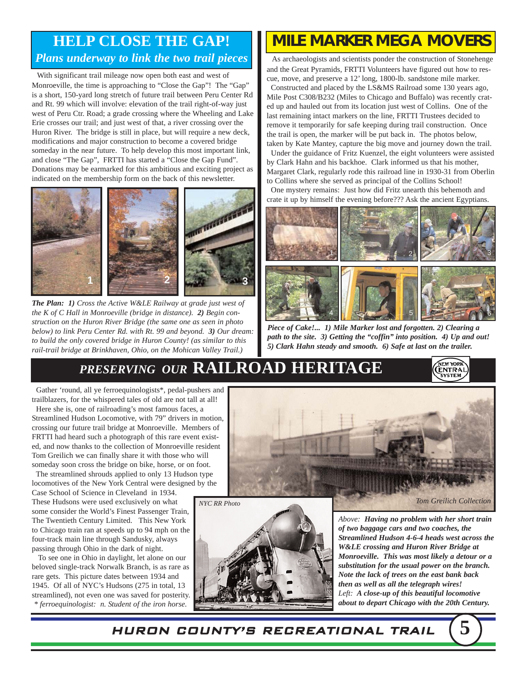#### **HELP CLOSE THE GAP!** *Plans underway to link the two trail pieces*

With significant trail mileage now open both east and west of Monroeville, the time is approaching to "Close the Gap"! The "Gap" is a short, 150-yard long stretch of future trail between Peru Center Rd and Rt. 99 which will involve: elevation of the trail right-of-way just west of Peru Ctr. Road; a grade crossing where the Wheeling and Lake Erie crosses our trail; and just west of that, a river crossing over the Huron River. The bridge is still in place, but will require a new deck, modifications and major construction to become a covered bridge someday in the near future. To help develop this most important link, and close "The Gap", FRTTI has started a "Close the Gap Fund". Donations may be earmarked for this ambitious and exciting project as indicated on the membership form on the back of this newsletter.



*The Plan: 1) Cross the Active W&LE Railway at grade just west of the K of C Hall in Monroeville (bridge in distance). 2) Begin construction on the Huron River Bridge (the same one as seen in photo below) to link Peru Center Rd. with Rt. 99 and beyond. 3) Our dream: to build the only covered bridge in Huron County! (as similar to this rail-trail bridge at Brinkhaven, Ohio, on the Mohican Valley Trail.)*

## *MILE MARKER MEGA MOVERS*

As archaeologists and scientists ponder the construction of Stonehenge and the Great Pyramids, FRTTI Volunteers have figured out how to rescue, move, and preserve a 12' long, 1800-lb. sandstone mile marker.

Constructed and placed by the LS&MS Railroad some 130 years ago, Mile Post C308/B232 (Miles to Chicago and Buffalo) was recently crated up and hauled out from its location just west of Collins. One of the last remaining intact markers on the line, FRTTI Trustees decided to remove it temporarily for safe keeping during trail construction. Once the trail is open, the marker will be put back in. The photos below, taken by Kate Mantey, capture the big move and journey down the trail.

Under the guidance of Fritz Kuenzel, the eight volunteers were assisted by Clark Hahn and his backhoe. Clark informed us that his mother, Margaret Clark, regularly rode this railroad line in 1930-31 from Oberlin to Collins where she served as principal of the Collins School!

One mystery remains: Just how did Fritz unearth this behemoth and crate it up by himself the evening before??? Ask the ancient Egyptians.



*Piece of Cake!... 1) Mile Marker lost and forgotten. 2) Clearing a path to the site. 3) Getting the "coffin" into position. 4) Up and out! 5) Clark Hahn steady and smooth. 6) Safe at last on the trailer.*

## *PRESERVING OUR* **RAILROAD HERITAGE**



Gather 'round, all ye ferroequinologists\*, pedal-pushers and trailblazers, for the whispered tales of old are not tall at all! Here she is, one of railroading's most famous faces, a

Streamlined Hudson Locomotive, with 79" drivers in motion, crossing our future trail bridge at Monroeville. Members of FRTTI had heard such a photograph of this rare event existed, and now thanks to the collection of Monroeville resident Tom Greilich we can finally share it with those who will someday soon cross the bridge on bike, horse, or on foot.

The streamlined shrouds applied to only 13 Hudson type locomotives of the New York Central were designed by the

Case School of Science in Cleveland in 1934. These Hudsons were used exclusively on what some consider the World's Finest Passenger Train, The Twentieth Century Limited. This New York to Chicago train ran at speeds up to 94 mph on the four-track main line through Sandusky, always passing through Ohio in the dark of night.

To see one in Ohio in daylight, let alone on our beloved single-track Norwalk Branch, is as rare as rare gets. This picture dates between 1934 and 1945. Of all of NYC's Hudsons (275 in total, 13 streamlined), not even one was saved for posterity. *\* ferroequinologist: n. Student of the iron horse.*





*Above: Having no problem with her short train of two baggage cars and two coaches, the Streamlined Hudson 4-6-4 heads west across the W&LE crossing and Huron River Bridge at Monroeville. This was most likely a detour or a substitution for the usual power on the branch. Note the lack of trees on the east bank back then as well as all the telegraph wires! Left: A close-up of this beautiful locomotive about to depart Chicago with the 20th Century.*

HURON COUNTY'S RECREATIONAL TRAIL **5**